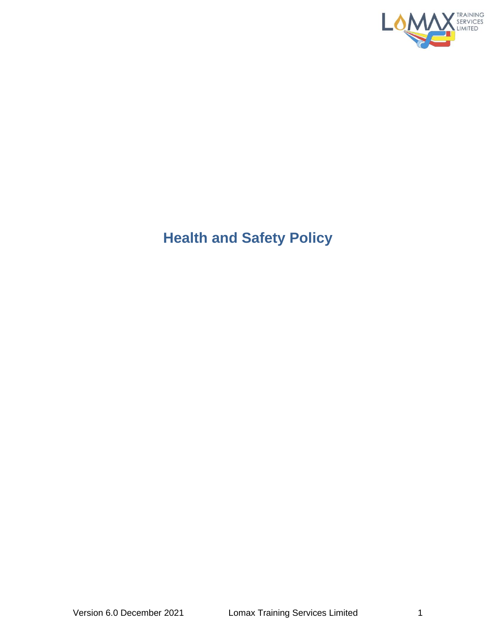

## **Health and Safety Policy**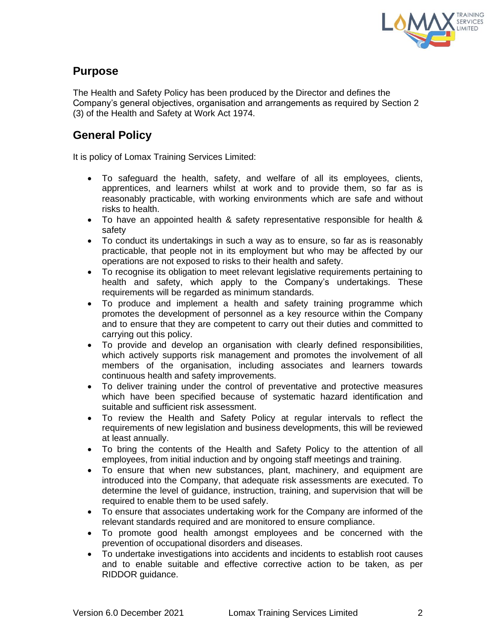

## **Purpose**

The Health and Safety Policy has been produced by the Director and defines the Company's general objectives, organisation and arrangements as required by Section 2 (3) of the Health and Safety at Work Act 1974.

## **General Policy**

It is policy of Lomax Training Services Limited:

- To safeguard the health, safety, and welfare of all its employees, clients, apprentices, and learners whilst at work and to provide them, so far as is reasonably practicable, with working environments which are safe and without risks to health.
- To have an appointed health & safety representative responsible for health & safety
- To conduct its undertakings in such a way as to ensure, so far as is reasonably practicable, that people not in its employment but who may be affected by our operations are not exposed to risks to their health and safety.
- To recognise its obligation to meet relevant legislative requirements pertaining to health and safety, which apply to the Company's undertakings. These requirements will be regarded as minimum standards.
- To produce and implement a health and safety training programme which promotes the development of personnel as a key resource within the Company and to ensure that they are competent to carry out their duties and committed to carrying out this policy.
- To provide and develop an organisation with clearly defined responsibilities, which actively supports risk management and promotes the involvement of all members of the organisation, including associates and learners towards continuous health and safety improvements.
- To deliver training under the control of preventative and protective measures which have been specified because of systematic hazard identification and suitable and sufficient risk assessment.
- To review the Health and Safety Policy at regular intervals to reflect the requirements of new legislation and business developments, this will be reviewed at least annually.
- To bring the contents of the Health and Safety Policy to the attention of all employees, from initial induction and by ongoing staff meetings and training.
- To ensure that when new substances, plant, machinery, and equipment are introduced into the Company, that adequate risk assessments are executed. To determine the level of guidance, instruction, training, and supervision that will be required to enable them to be used safely.
- To ensure that associates undertaking work for the Company are informed of the relevant standards required and are monitored to ensure compliance.
- To promote good health amongst employees and be concerned with the prevention of occupational disorders and diseases.
- To undertake investigations into accidents and incidents to establish root causes and to enable suitable and effective corrective action to be taken, as per RIDDOR guidance.